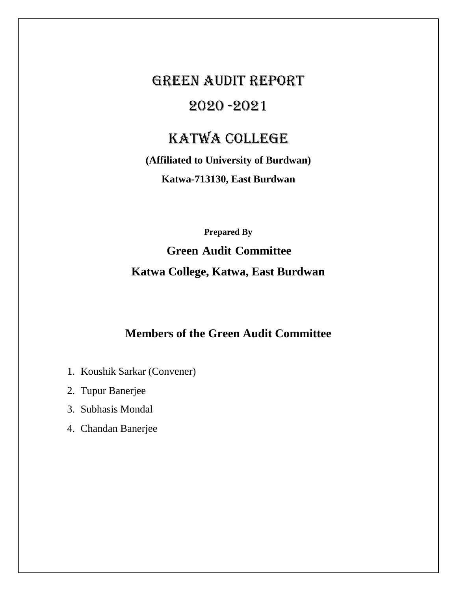# GREEN AUDIT REPORT 2020 -2021

## KATWA COLLEGE

**(Affiliated to University of Burdwan) Katwa-713130, East Burdwan**

> **Prepared By Green Audit Committee**

## **Katwa College, Katwa, East Burdwan**

## **Members of the Green Audit Committee**

- 1. Koushik Sarkar (Convener)
- 2. Tupur Banerjee
- 3. Subhasis Mondal
- 4. Chandan Banerjee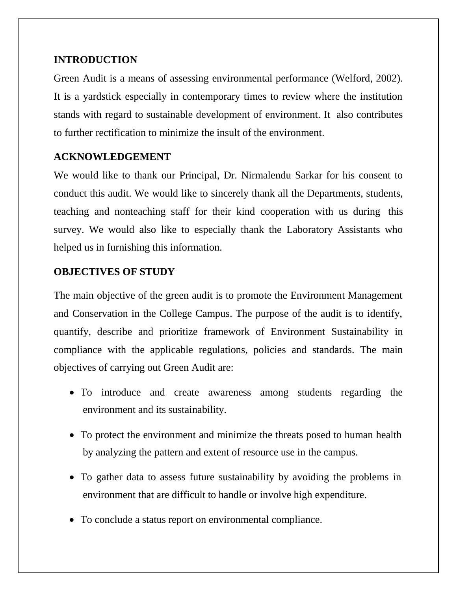#### **INTRODUCTION**

Green Audit is a means of assessing environmental performance (Welford, 2002). It is a yardstick especially in contemporary times to review where the institution stands with regard to sustainable development of environment. It also contributes to further rectification to minimize the insult of the environment.

## **ACKNOWLEDGEMENT**

We would like to thank our Principal, Dr. Nirmalendu Sarkar for his consent to conduct this audit. We would like to sincerely thank all the Departments, students, teaching and nonteaching staff for their kind cooperation with us during this survey. We would also like to especially thank the Laboratory Assistants who helped us in furnishing this information.

## **OBJECTIVES OF STUDY**

The main objective of the green audit is to promote the Environment Management and Conservation in the College Campus. The purpose of the audit is to identify, quantify, describe and prioritize framework of Environment Sustainability in compliance with the applicable regulations, policies and standards. The main objectives of carrying out Green Audit are:

- To introduce and create awareness among students regarding the environment and its sustainability.
- To protect the environment and minimize the threats posed to human health by analyzing the pattern and extent of resource use in the campus.
- To gather data to assess future sustainability by avoiding the problems in environment that are difficult to handle or involve high expenditure.
- To conclude a status report on environmental compliance.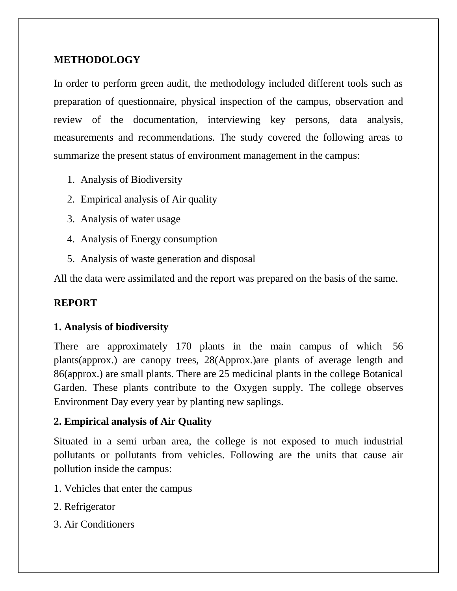## **METHODOLOGY**

In order to perform green audit, the methodology included different tools such as preparation of questionnaire, physical inspection of the campus, observation and review of the documentation, interviewing key persons, data analysis, measurements and recommendations. The study covered the following areas to summarize the present status of environment management in the campus:

- 1. Analysis of Biodiversity
- 2. Empirical analysis of Air quality
- 3. Analysis of water usage
- 4. Analysis of Energy consumption
- 5. Analysis of waste generation and disposal

All the data were assimilated and the report was prepared on the basis of the same.

#### **REPORT**

#### **1. Analysis of biodiversity**

There are approximately 170 plants in the main campus of which 56 plants(approx.) are canopy trees, 28(Approx.)are plants of average length and 86(approx.) are small plants. There are 25 medicinal plants in the college Botanical Garden. These plants contribute to the Oxygen supply. The college observes Environment Day every year by planting new saplings.

#### **2. Empirical analysis of Air Quality**

Situated in a semi urban area, the college is not exposed to much industrial pollutants or pollutants from vehicles. Following are the units that cause air pollution inside the campus:

- 1. Vehicles that enter the campus
- 2. Refrigerator
- 3. Air Conditioners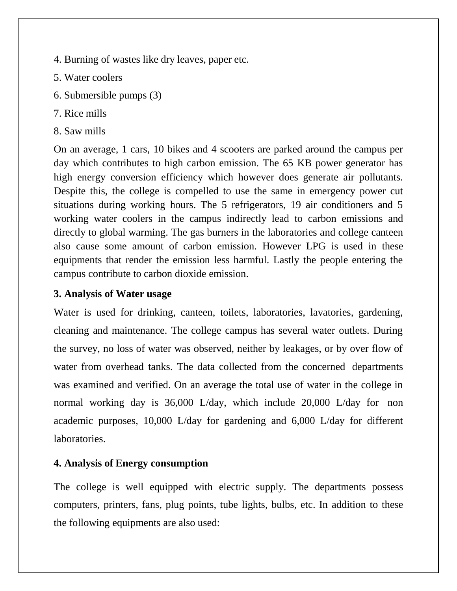- 4. Burning of wastes like dry leaves, paper etc.
- 5. Water coolers
- 6. Submersible pumps (3)
- 7. Rice mills
- 8. Saw mills

On an average, 1 cars, 10 bikes and 4 scooters are parked around the campus per day which contributes to high carbon emission. The 65 KB power generator has high energy conversion efficiency which however does generate air pollutants. Despite this, the college is compelled to use the same in emergency power cut situations during working hours. The 5 refrigerators, 19 air conditioners and 5 working water coolers in the campus indirectly lead to carbon emissions and directly to global warming. The gas burners in the laboratories and college canteen also cause some amount of carbon emission. However LPG is used in these equipments that render the emission less harmful. Lastly the people entering the campus contribute to carbon dioxide emission.

#### **3. Analysis of Water usage**

Water is used for drinking, canteen, toilets, laboratories, lavatories, gardening, cleaning and maintenance. The college campus has several water outlets. During the survey, no loss of water was observed, neither by leakages, or by over flow of water from overhead tanks. The data collected from the concerned departments was examined and verified. On an average the total use of water in the college in normal working day is 36,000 L/day, which include 20,000 L/day for non academic purposes, 10,000 L/day for gardening and 6,000 L/day for different laboratories.

#### **4. Analysis of Energy consumption**

The college is well equipped with electric supply. The departments possess computers, printers, fans, plug points, tube lights, bulbs, etc. In addition to these the following equipments are also used: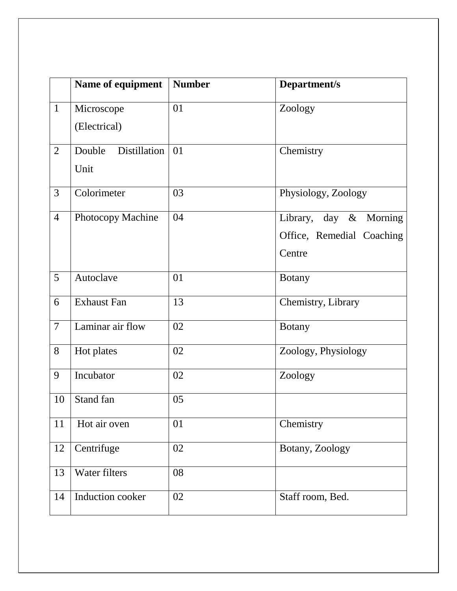|                | Name of equipment      | <b>Number</b> | Department/s              |
|----------------|------------------------|---------------|---------------------------|
| $\mathbf{1}$   | Microscope             | 01            | Zoology                   |
|                | (Electrical)           |               |                           |
| $\overline{2}$ | Distillation<br>Double | 01            | Chemistry                 |
|                | Unit                   |               |                           |
| $\overline{3}$ | Colorimeter            | 03            | Physiology, Zoology       |
| $\overline{4}$ | Photocopy Machine      | 04            | Library, day & Morning    |
|                |                        |               | Office, Remedial Coaching |
|                |                        |               | Centre                    |
| 5              | Autoclave              | 01            | <b>Botany</b>             |
| 6              | <b>Exhaust Fan</b>     | 13            | Chemistry, Library        |
| $\overline{7}$ | Laminar air flow       | 02            | <b>Botany</b>             |
| 8              | Hot plates             | 02            | Zoology, Physiology       |
| 9              | Incubator              | 02            | Zoology                   |
| 10             | Stand fan              | 05            |                           |
| 11             | Hot air oven           | 01            | Chemistry                 |
| 12             | Centrifuge             | 02            | Botany, Zoology           |
| 13             | Water filters          | 08            |                           |
| 14             | Induction cooker       | 02            | Staff room, Bed.          |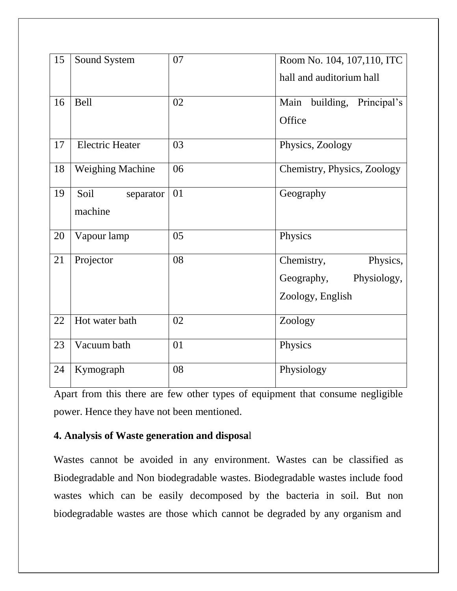| 15 | Sound System                 | 07 | Room No. 104, 107, 110, ITC<br>hall and auditorium hall                 |
|----|------------------------------|----|-------------------------------------------------------------------------|
| 16 | <b>Bell</b>                  | 02 | Main<br>building,<br>Principal's                                        |
|    |                              |    | Office                                                                  |
| 17 | <b>Electric Heater</b>       | 03 | Physics, Zoology                                                        |
| 18 | <b>Weighing Machine</b>      | 06 | Chemistry, Physics, Zoology                                             |
| 19 | Soil<br>separator<br>machine | 01 | Geography                                                               |
| 20 | Vapour lamp                  | 05 | Physics                                                                 |
| 21 | Projector                    | 08 | Chemistry,<br>Physics,<br>Physiology,<br>Geography,<br>Zoology, English |
| 22 | Hot water bath               | 02 | Zoology                                                                 |
| 23 | Vacuum bath                  | 01 | Physics                                                                 |
| 24 | Kymograph                    | 08 | Physiology                                                              |

Apart from this there are few other types of equipment that consume negligible power. Hence they have not been mentioned.

#### **4. Analysis of Waste generation and disposa**l

Wastes cannot be avoided in any environment. Wastes can be classified as Biodegradable and Non biodegradable wastes. Biodegradable wastes include food wastes which can be easily decomposed by the bacteria in soil. But non biodegradable wastes are those which cannot be degraded by any organism and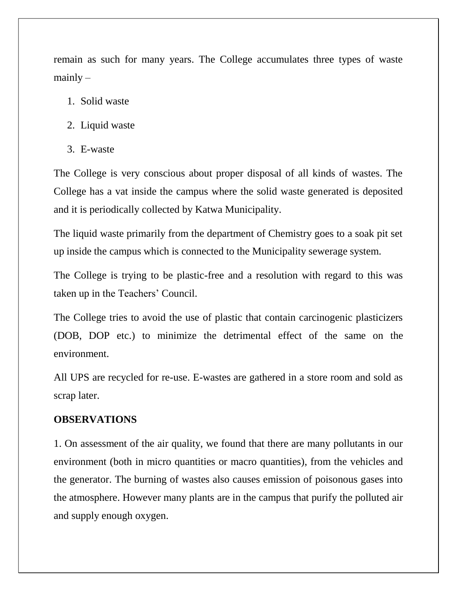remain as such for many years. The College accumulates three types of waste  $mainly -$ 

- 1. Solid waste
- 2. Liquid waste
- 3. E-waste

The College is very conscious about proper disposal of all kinds of wastes. The College has a vat inside the campus where the solid waste generated is deposited and it is periodically collected by Katwa Municipality.

The liquid waste primarily from the department of Chemistry goes to a soak pit set up inside the campus which is connected to the Municipality sewerage system.

The College is trying to be plastic-free and a resolution with regard to this was taken up in the Teachers' Council.

The College tries to avoid the use of plastic that contain carcinogenic plasticizers (DOB, DOP etc.) to minimize the detrimental effect of the same on the environment.

All UPS are recycled for re-use. E-wastes are gathered in a store room and sold as scrap later.

#### **OBSERVATIONS**

1. On assessment of the air quality, we found that there are many pollutants in our environment (both in micro quantities or macro quantities), from the vehicles and the generator. The burning of wastes also causes emission of poisonous gases into the atmosphere. However many plants are in the campus that purify the polluted air and supply enough oxygen.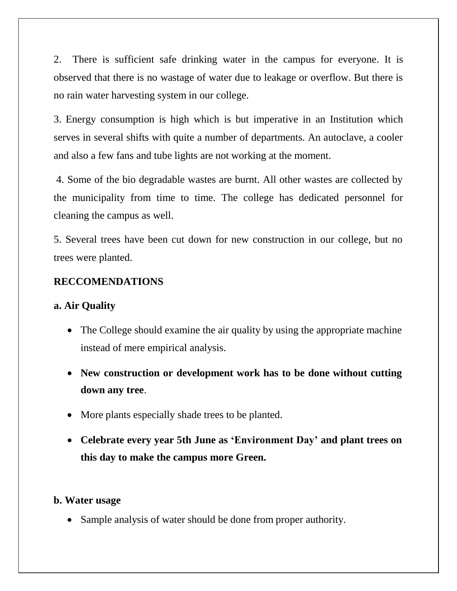2. There is sufficient safe drinking water in the campus for everyone. It is observed that there is no wastage of water due to leakage or overflow. But there is no rain water harvesting system in our college.

3. Energy consumption is high which is but imperative in an Institution which serves in several shifts with quite a number of departments. An autoclave, a cooler and also a few fans and tube lights are not working at the moment.

4. Some of the bio degradable wastes are burnt. All other wastes are collected by the municipality from time to time. The college has dedicated personnel for cleaning the campus as well.

5. Several trees have been cut down for new construction in our college, but no trees were planted.

#### **RECCOMENDATIONS**

#### **a. Air Quality**

- The College should examine the air quality by using the appropriate machine instead of mere empirical analysis.
- **New construction or development work has to be done without cutting down any tree**.
- More plants especially shade trees to be planted.
- **Celebrate every year 5th June as 'Environment Day' and plant trees on this day to make the campus more Green.**

#### **b. Water usage**

• Sample analysis of water should be done from proper authority.